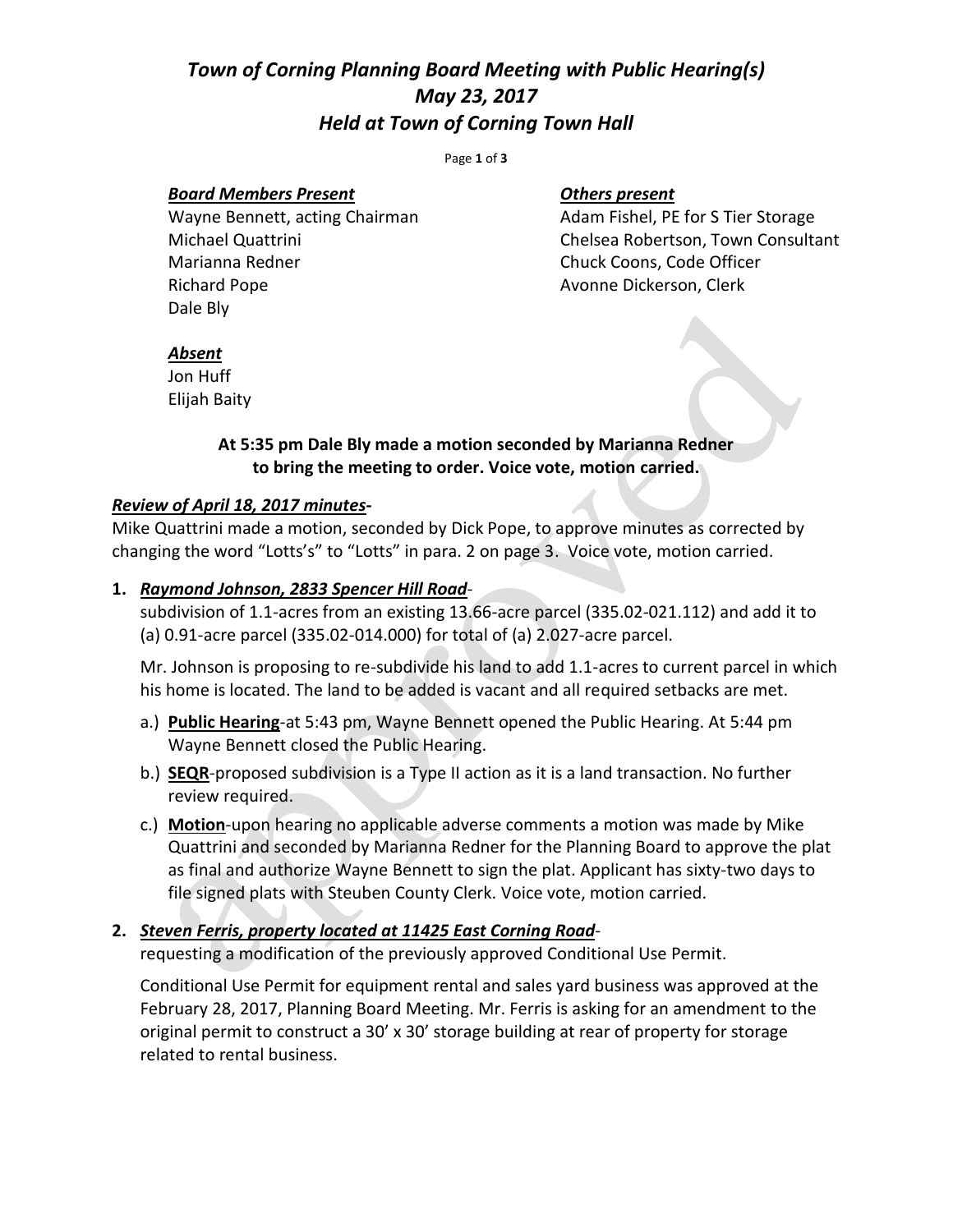# *Town of Corning Planning Board Meeting with Public Hearing(s) May 23, 2017 Held at Town of Corning Town Hall*

Page **1** of **3**

#### *Board Members Present Others present*

Marianna Redner Chuck Coons, Code Officer Richard Pope **Avonne Dickerson**, Clerk Dale Bly

Wayne Bennett, acting Chairman Adam Fishel, PE for S Tier Storage Michael Quattrini Chelsea Robertson, Town Consultant

#### *Absent*

Jon Huff Elijah Baity

## **At 5:35 pm Dale Bly made a motion seconded by Marianna Redner to bring the meeting to order. Voice vote, motion carried.**

#### *Review of April 18, 2017 minutes***-**

Mike Quattrini made a motion, seconded by Dick Pope, to approve minutes as corrected by changing the word "Lotts's" to "Lotts" in para. 2 on page 3. Voice vote, motion carried.

#### **1.** *Raymond Johnson, 2833 Spencer Hill Road*-

subdivision of 1.1-acres from an existing 13.66-acre parcel (335.02-021.112) and add it to (a) 0.91-acre parcel (335.02-014.000) for total of (a) 2.027-acre parcel.

Mr. Johnson is proposing to re-subdivide his land to add 1.1-acres to current parcel in which his home is located. The land to be added is vacant and all required setbacks are met.

- a.) **Public Hearing**-at 5:43 pm, Wayne Bennett opened the Public Hearing. At 5:44 pm Wayne Bennett closed the Public Hearing.
- b.) **SEQR**-proposed subdivision is a Type II action as it is a land transaction. No further review required.
- c.) **Motion**-upon hearing no applicable adverse comments a motion was made by Mike Quattrini and seconded by Marianna Redner for the Planning Board to approve the plat as final and authorize Wayne Bennett to sign the plat. Applicant has sixty-two days to file signed plats with Steuben County Clerk. Voice vote, motion carried.

### **2.** *Steven Ferris, property located at 11425 East Corning Road*-

requesting a modification of the previously approved Conditional Use Permit.

Conditional Use Permit for equipment rental and sales yard business was approved at the February 28, 2017, Planning Board Meeting. Mr. Ferris is asking for an amendment to the original permit to construct a 30' x 30' storage building at rear of property for storage related to rental business.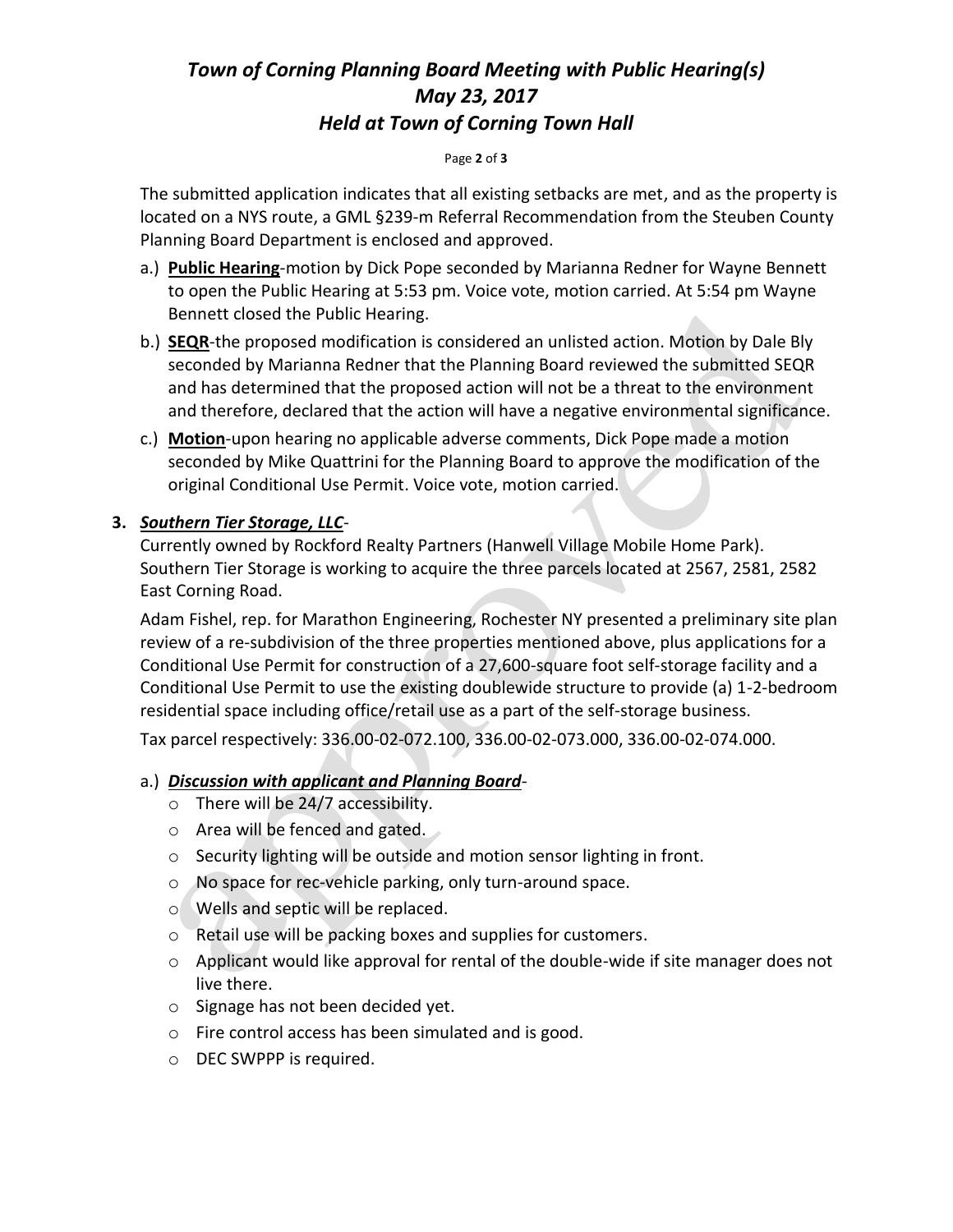# *Town of Corning Planning Board Meeting with Public Hearing(s) May 23, 2017 Held at Town of Corning Town Hall*

#### Page **2** of **3**

The submitted application indicates that all existing setbacks are met, and as the property is located on a NYS route, a GML §239-m Referral Recommendation from the Steuben County Planning Board Department is enclosed and approved.

- a.) **Public Hearing**-motion by Dick Pope seconded by Marianna Redner for Wayne Bennett to open the Public Hearing at 5:53 pm. Voice vote, motion carried. At 5:54 pm Wayne Bennett closed the Public Hearing.
- b.) **SEQR**-the proposed modification is considered an unlisted action. Motion by Dale Bly seconded by Marianna Redner that the Planning Board reviewed the submitted SEQR and has determined that the proposed action will not be a threat to the environment and therefore, declared that the action will have a negative environmental significance.
- c.) **Motion**-upon hearing no applicable adverse comments, Dick Pope made a motion seconded by Mike Quattrini for the Planning Board to approve the modification of the original Conditional Use Permit. Voice vote, motion carried.

## **3.** *Southern Tier Storage, LLC*-

Currently owned by Rockford Realty Partners (Hanwell Village Mobile Home Park). Southern Tier Storage is working to acquire the three parcels located at 2567, 2581, 2582 East Corning Road.

Adam Fishel, rep. for Marathon Engineering, Rochester NY presented a preliminary site plan review of a re-subdivision of the three properties mentioned above, plus applications for a Conditional Use Permit for construction of a 27,600-square foot self-storage facility and a Conditional Use Permit to use the existing doublewide structure to provide (a) 1-2-bedroom residential space including office/retail use as a part of the self-storage business.

Tax parcel respectively: 336.00-02-072.100, 336.00-02-073.000, 336.00-02-074.000.

## a.) *Discussion with applicant and Planning Board*-

- o There will be 24/7 accessibility.
- o Area will be fenced and gated.
- o Security lighting will be outside and motion sensor lighting in front.
- o No space for rec-vehicle parking, only turn-around space.
- o Wells and septic will be replaced.
- o Retail use will be packing boxes and supplies for customers.
- $\circ$  Applicant would like approval for rental of the double-wide if site manager does not live there.
- o Signage has not been decided yet.
- o Fire control access has been simulated and is good.
- o DEC SWPPP is required.